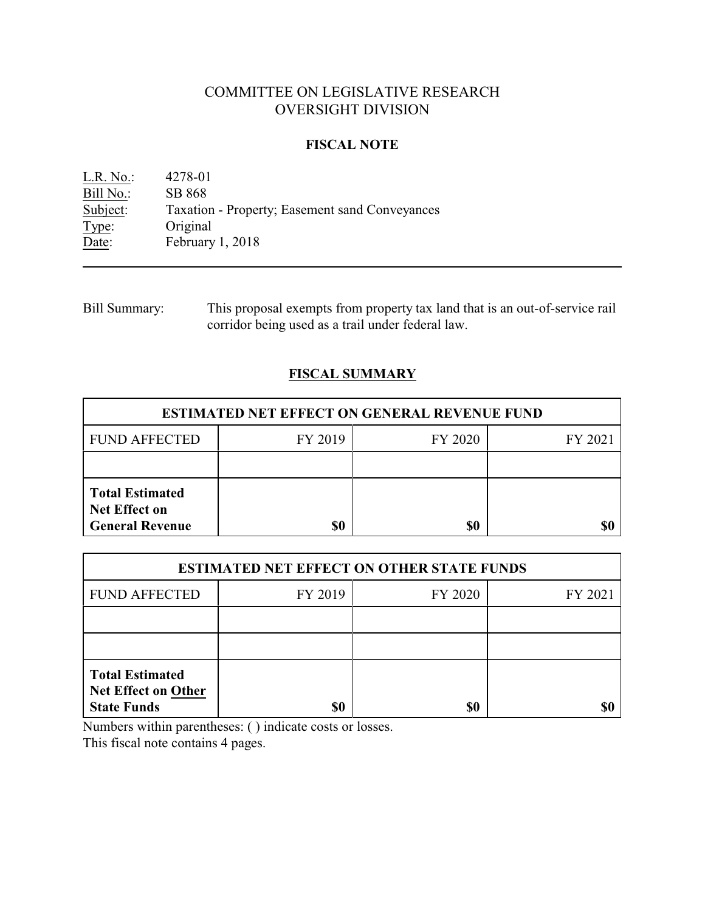# COMMITTEE ON LEGISLATIVE RESEARCH OVERSIGHT DIVISION

### **FISCAL NOTE**

L.R. No.: 4278-01 Bill No.: SB 868<br>Subject: Taxation Taxation - Property; Easement sand Conveyances Type: Original<br>Date: February February 1, 2018

Bill Summary: This proposal exempts from property tax land that is an out-of-service rail corridor being used as a trail under federal law.

# **FISCAL SUMMARY**

| <b>ESTIMATED NET EFFECT ON GENERAL REVENUE FUND</b>                      |         |         |         |  |
|--------------------------------------------------------------------------|---------|---------|---------|--|
| <b>FUND AFFECTED</b>                                                     | FY 2019 | FY 2020 | FY 2021 |  |
|                                                                          |         |         |         |  |
| <b>Total Estimated</b><br><b>Net Effect on</b><br><b>General Revenue</b> | \$0     | \$0     |         |  |

| <b>ESTIMATED NET EFFECT ON OTHER STATE FUNDS</b>                           |         |         |         |  |
|----------------------------------------------------------------------------|---------|---------|---------|--|
| <b>FUND AFFECTED</b>                                                       | FY 2019 | FY 2020 | FY 2021 |  |
|                                                                            |         |         |         |  |
|                                                                            |         |         |         |  |
| <b>Total Estimated</b><br><b>Net Effect on Other</b><br><b>State Funds</b> | \$0     | \$0     |         |  |

Numbers within parentheses: ( ) indicate costs or losses.

This fiscal note contains 4 pages.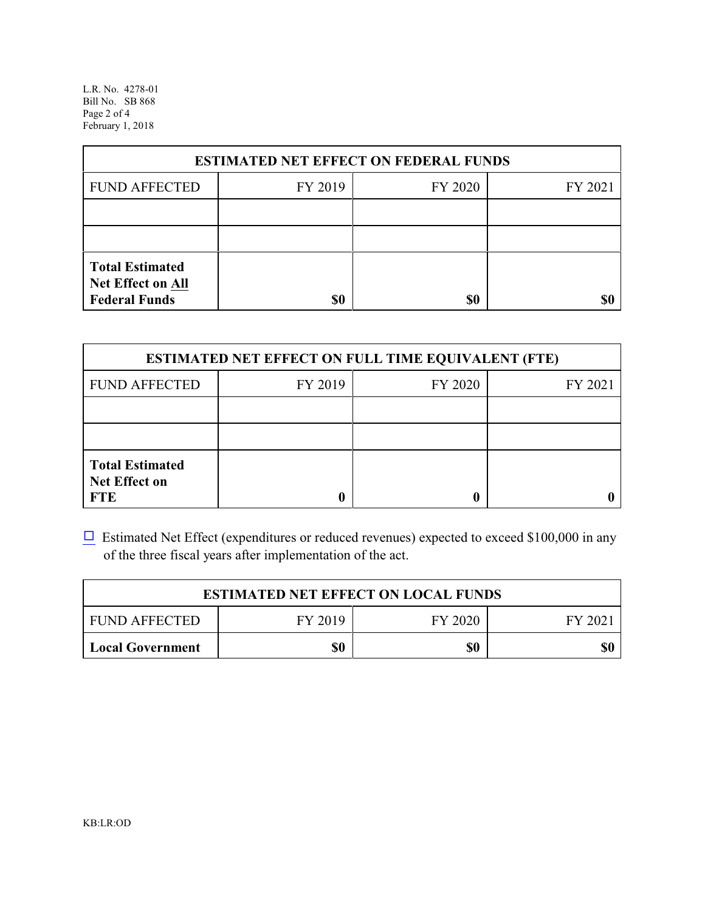L.R. No. 4278-01 Bill No. SB 868 Page 2 of 4 February 1, 2018

| <b>ESTIMATED NET EFFECT ON FEDERAL FUNDS</b>                        |         |         |         |  |
|---------------------------------------------------------------------|---------|---------|---------|--|
| <b>FUND AFFECTED</b>                                                | FY 2019 | FY 2020 | FY 2021 |  |
|                                                                     |         |         |         |  |
|                                                                     |         |         |         |  |
| <b>Total Estimated</b><br>Net Effect on All<br><b>Federal Funds</b> | \$0     | \$0     |         |  |

| <b>ESTIMATED NET EFFECT ON FULL TIME EQUIVALENT (FTE)</b>    |         |         |         |  |
|--------------------------------------------------------------|---------|---------|---------|--|
| <b>FUND AFFECTED</b>                                         | FY 2019 | FY 2020 | FY 2021 |  |
|                                                              |         |         |         |  |
|                                                              |         |         |         |  |
| <b>Total Estimated</b><br><b>Net Effect on</b><br><b>FTE</b> |         |         |         |  |

 $\Box$  Estimated Net Effect (expenditures or reduced revenues) expected to exceed \$100,000 in any of the three fiscal years after implementation of the act.

| <b>ESTIMATED NET EFFECT ON LOCAL FUNDS</b> |         |         |        |  |
|--------------------------------------------|---------|---------|--------|--|
| <b>FUND AFFECTED</b>                       | FY 2019 | FY 2020 | FY 202 |  |
| <b>Local Government</b>                    | \$0     | \$0     | \$0    |  |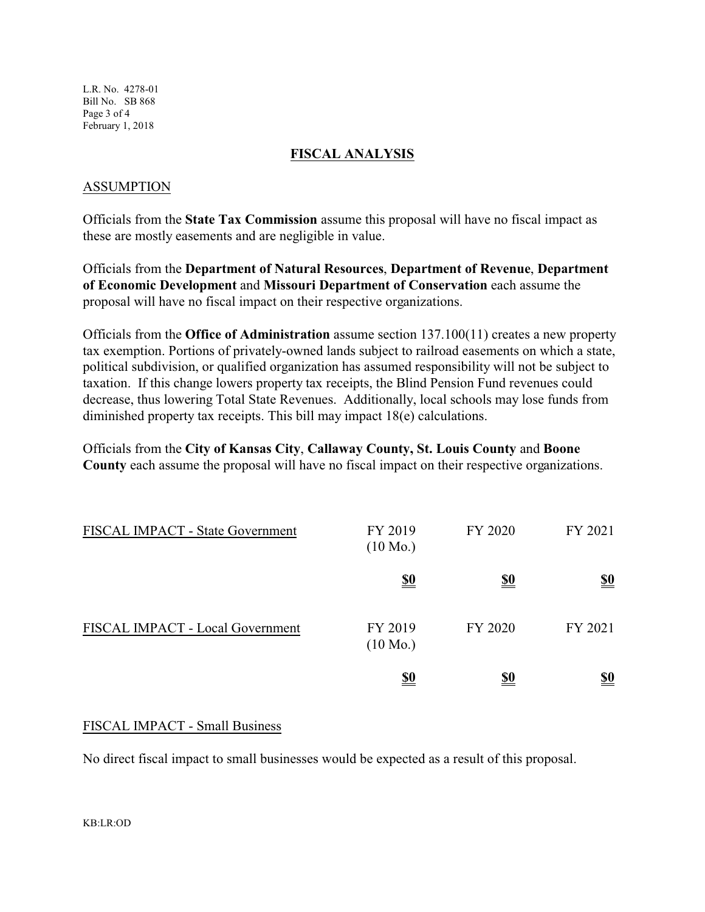L.R. No. 4278-01 Bill No. SB 868 Page 3 of 4 February 1, 2018

### **FISCAL ANALYSIS**

# ASSUMPTION

Officials from the **State Tax Commission** assume this proposal will have no fiscal impact as these are mostly easements and are negligible in value.

Officials from the **Department of Natural Resources**, **Department of Revenue**, **Department of Economic Development** and **Missouri Department of Conservation** each assume the proposal will have no fiscal impact on their respective organizations.

Officials from the **Office of Administration** assume section 137.100(11) creates a new property tax exemption. Portions of privately-owned lands subject to railroad easements on which a state, political subdivision, or qualified organization has assumed responsibility will not be subject to taxation. If this change lowers property tax receipts, the Blind Pension Fund revenues could decrease, thus lowering Total State Revenues. Additionally, local schools may lose funds from diminished property tax receipts. This bill may impact 18(e) calculations.

Officials from the **City of Kansas City**, **Callaway County, St. Louis County** and **Boone County** each assume the proposal will have no fiscal impact on their respective organizations.

| FISCAL IMPACT - State Government | FY 2019<br>$(10 \text{ Mo.})$ | FY 2020    | FY 2021                       |
|----------------------------------|-------------------------------|------------|-------------------------------|
|                                  | <u>\$0</u>                    | <u>\$0</u> | $\underline{\underline{\$0}}$ |
| FISCAL IMPACT - Local Government | FY 2019<br>$(10 \text{ Mo.})$ | FY 2020    | FY 2021                       |
|                                  | <u>\$0</u>                    | <u>\$0</u> | <u>\$0</u>                    |

### FISCAL IMPACT - Small Business

No direct fiscal impact to small businesses would be expected as a result of this proposal.